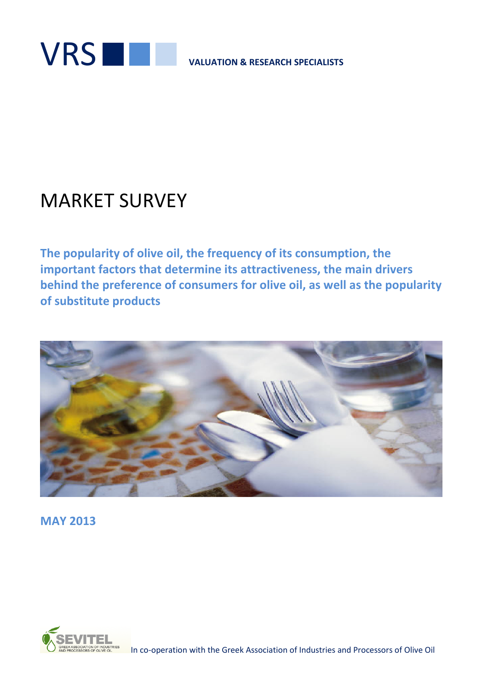

## MARKET SURVEY

**The popularity of olive oil, the frequency of its consumption, the important factors that determine its attractiveness, the main drivers behind the preference of consumers for olive oil, as well as the popularity of substitute products** 



**MAY 2013** 



**U** SNEEKASSOCIATION OF INDUSTRIES **IN CO-OPERATION With the Greek Association of Industries and Processors of Olive Oil**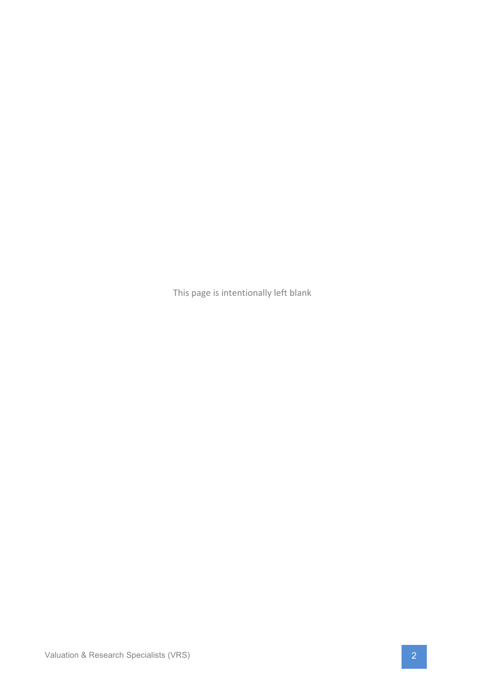This page is intentionally left blank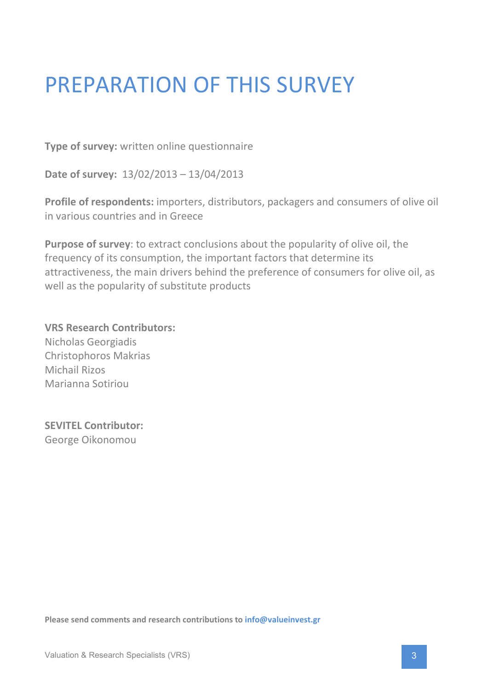## PREPARATION OF THIS SURVEY

**Type of survey:** written online questionnaire

**Date of survey:** 13/02/2013 – 13/04/2013

**Profile of respondents:** importers, distributors, packagers and consumers of olive oil in various countries and in Greece

**Purpose of survey**: to extract conclusions about the popularity of olive oil, the frequency of its consumption, the important factors that determine its attractiveness, the main drivers behind the preference of consumers for olive oil, as well as the popularity of substitute products

**VRS Research Contributors:**  Nicholas Georgiadis Christophoros Makrias Michail Rizos Marianna Sotiriou

**SEVITEL Contributor:**  George Oikonomou

**Please send comments and research contributions to info@valueinvest.gr**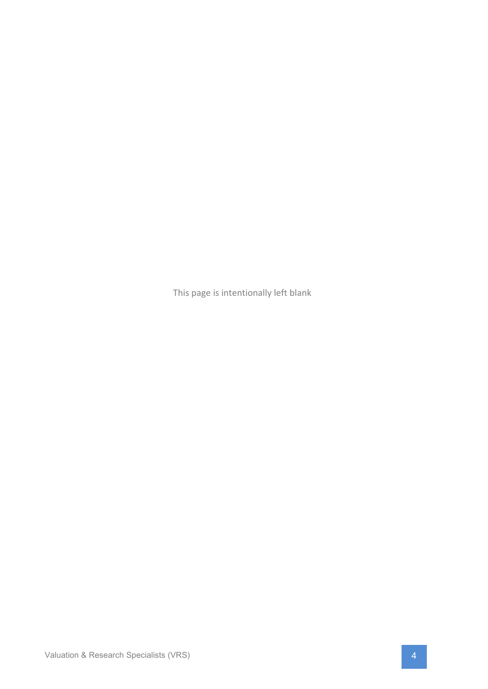This page is intentionally left blank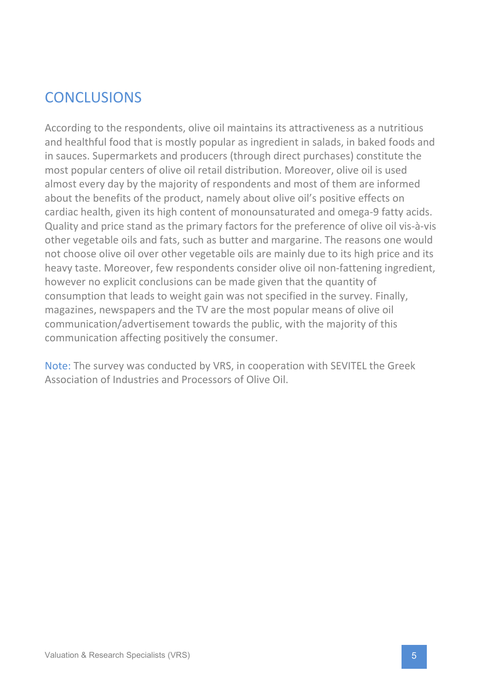### **CONCLUSIONS**

According to the respondents, olive oil maintains its attractiveness as a nutritious and healthful food that is mostly popular as ingredient in salads, in baked foods and in sauces. Supermarkets and producers (through direct purchases) constitute the most popular centers of olive oil retail distribution. Moreover, olive oil is used almost every day by the majority of respondents and most of them are informed about the benefits of the product, namely about olive oil's positive effects on cardiac health, given its high content of monounsaturated and omega-9 fatty acids. Quality and price stand as the primary factors for the preference of olive oil vis-à-vis other vegetable oils and fats, such as butter and margarine. The reasons one would not choose olive oil over other vegetable oils are mainly due to its high price and its heavy taste. Moreover, few respondents consider olive oil non-fattening ingredient, however no explicit conclusions can be made given that the quantity of consumption that leads to weight gain was not specified in the survey. Finally, magazines, newspapers and the TV are the most popular means of olive oil communication/advertisement towards the public, with the majority of this communication affecting positively the consumer.

Note: The survey was conducted by VRS, in cooperation with SEVITEL the Greek Association of Industries and Processors of Olive Oil.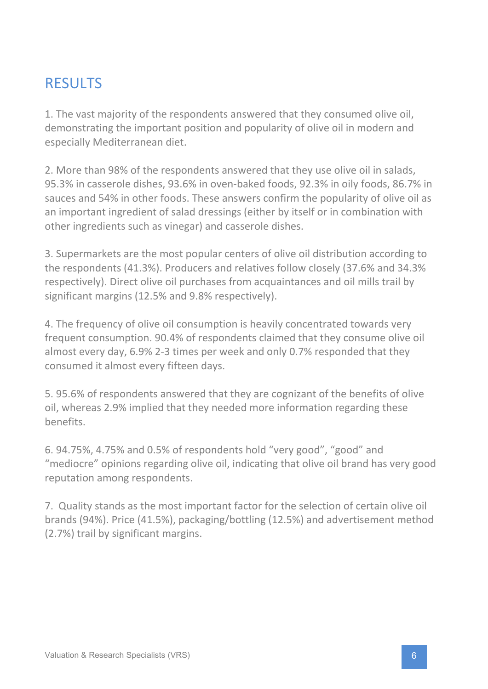### RESULTS

1. The vast majority of the respondents answered that they consumed olive oil, demonstrating the important position and popularity of olive oil in modern and especially Mediterranean diet.

2. More than 98% of the respondents answered that they use olive oil in salads, 95.3% in casserole dishes, 93.6% in oven-baked foods, 92.3% in oily foods, 86.7% in sauces and 54% in other foods. These answers confirm the popularity of olive oil as an important ingredient of salad dressings (either by itself or in combination with other ingredients such as vinegar) and casserole dishes.

3. Supermarkets are the most popular centers of olive oil distribution according to the respondents (41.3%). Producers and relatives follow closely (37.6% and 34.3% respectively). Direct olive oil purchases from acquaintances and oil mills trail by significant margins (12.5% and 9.8% respectively).

4. The frequency of olive oil consumption is heavily concentrated towards very frequent consumption. 90.4% of respondents claimed that they consume olive oil almost every day, 6.9% 2-3 times per week and only 0.7% responded that they consumed it almost every fifteen days.

5. 95.6% of respondents answered that they are cognizant of the benefits of olive oil, whereas 2.9% implied that they needed more information regarding these benefits.

6. 94.75%, 4.75% and 0.5% of respondents hold "very good", "good" and "mediocre" opinions regarding olive oil, indicating that olive oil brand has very good reputation among respondents.

7. Quality stands as the most important factor for the selection of certain olive oil brands (94%). Price (41.5%), packaging/bottling (12.5%) and advertisement method (2.7%) trail by significant margins.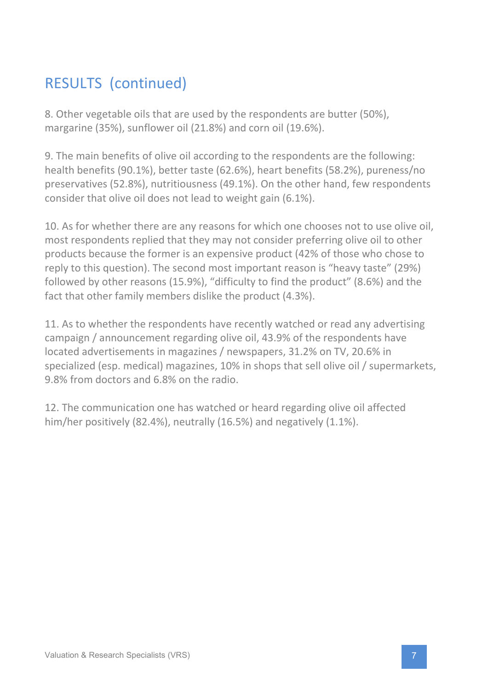### RESULTS (continued)

8. Other vegetable oils that are used by the respondents are butter (50%), margarine (35%), sunflower oil (21.8%) and corn oil (19.6%).

9. The main benefits of olive oil according to the respondents are the following: health benefits (90.1%), better taste (62.6%), heart benefits (58.2%), pureness/no preservatives (52.8%), nutritiousness (49.1%). On the other hand, few respondents consider that olive oil does not lead to weight gain (6.1%).

10. As for whether there are any reasons for which one chooses not to use olive oil, most respondents replied that they may not consider preferring olive oil to other products because the former is an expensive product (42% of those who chose to reply to this question). The second most important reason is "heavy taste" (29%) followed by other reasons (15.9%), "difficulty to find the product" (8.6%) and the fact that other family members dislike the product (4.3%).

11. As to whether the respondents have recently watched or read any advertising campaign / announcement regarding olive oil, 43.9% of the respondents have located advertisements in magazines / newspapers, 31.2% on TV, 20.6% in specialized (esp. medical) magazines, 10% in shops that sell olive oil / supermarkets, 9.8% from doctors and 6.8% on the radio.

12. The communication one has watched or heard regarding olive oil affected him/her positively (82.4%), neutrally (16.5%) and negatively (1.1%).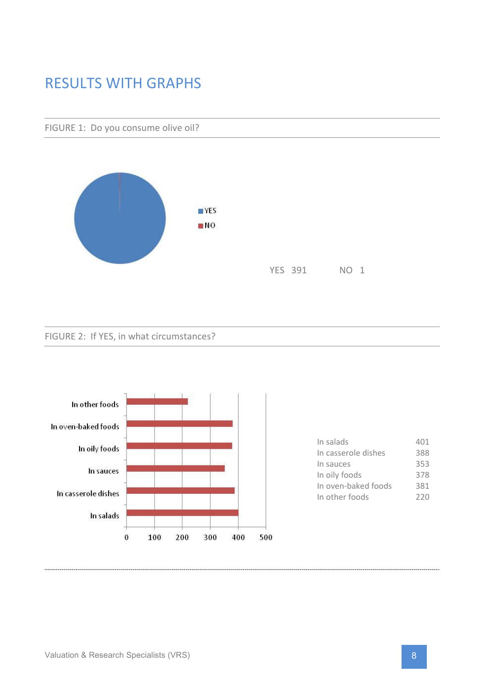### RESULTS WITH GRAPHS



FIGURE 2: If YES, in what circumstances?



| In salads           | 401 |
|---------------------|-----|
| In casserole dishes | 388 |
| In sauces           | 353 |
| In oily foods       | 378 |
| In oven-baked foods | 381 |
| In other foods      | 220 |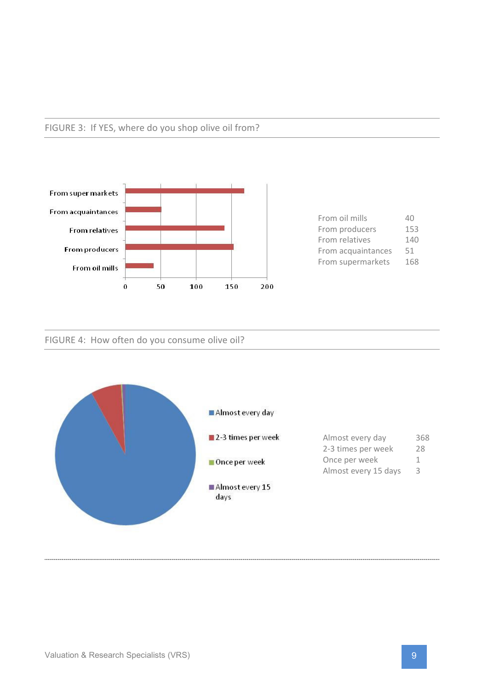

| From oil mills     | 40  |
|--------------------|-----|
| From producers     | 153 |
| From relatives     | 140 |
| From acquaintances | 51  |
| From supermarkets  | 168 |

### FIGURE 4: How often do you consume olive oil?

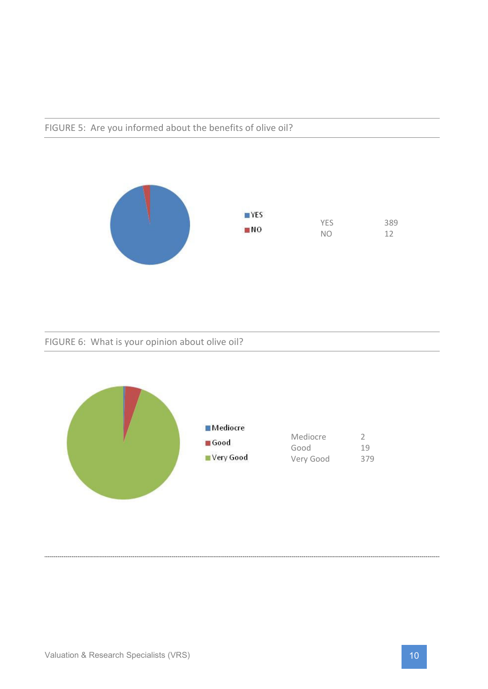

FIGURE 6: What is your opinion about olive oil?

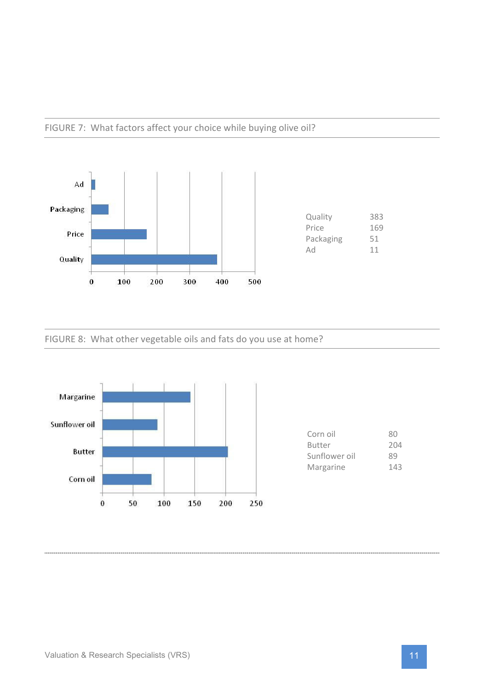

| Quality   | 383 |
|-----------|-----|
| Price     | 169 |
| Packaging | 51  |
| Ad        | 11  |

### FIGURE 8: What other vegetable oils and fats do you use at home?



| Corn oil      | 80  |
|---------------|-----|
| Butter        | 204 |
| Sunflower oil | 89  |
| Margarine     | 143 |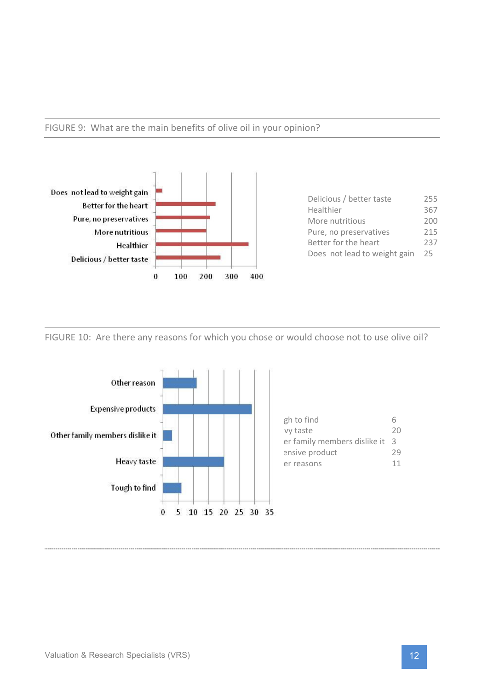

| Delicious / better taste     | 255 |
|------------------------------|-----|
| Healthier                    | 367 |
| More nutritious              | 200 |
| Pure, no preservatives       | 215 |
| Better for the heart         | 237 |
| Does not lead to weight gain | 25  |

FIGURE 10: Are there any reasons for which you chose or would choose not to use olive oil?



| gh to find                   | h  |
|------------------------------|----|
| vy taste                     | 20 |
| er family members dislike it | 3  |
| ensive product               | つり |
| er reasons                   | 11 |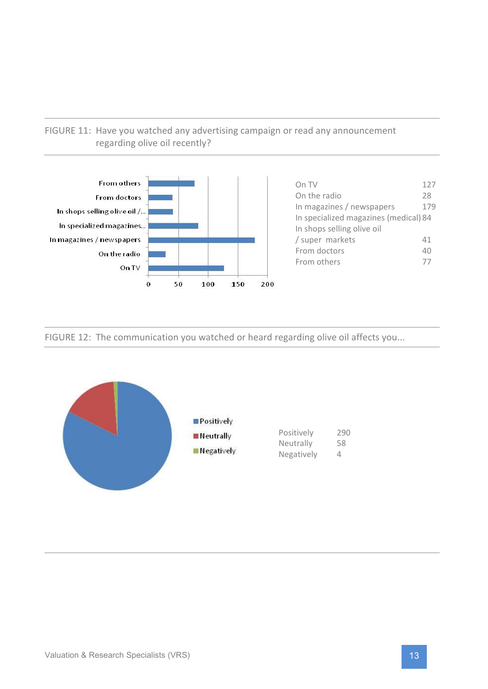#### FIGURE 11: Have you watched any advertising campaign or read any announcement regarding olive oil recently?



| On TV                                 | 127 |
|---------------------------------------|-----|
| On the radio                          | 28  |
| In magazines / newspapers             | 179 |
| In specialized magazines (medical) 84 |     |
| In shops selling olive oil            |     |
| / super markets                       | 41  |
| From doctors                          | 40  |
| From others                           | 77  |
|                                       |     |

FIGURE 12: The communication you watched or heard regarding olive oil affects you...

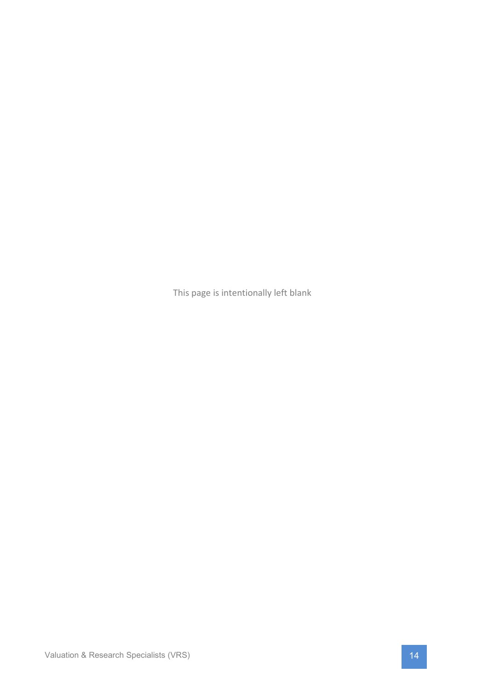This page is intentionally left blank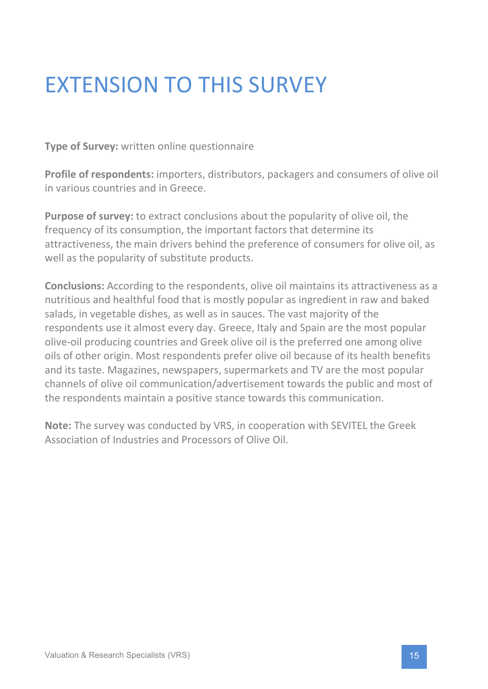# EXTENSION TO THIS SURVEY

**Type of Survey:** written online questionnaire

**Profile of respondents:** importers, distributors, packagers and consumers of olive oil in various countries and in Greece.

**Purpose of survey:** to extract conclusions about the popularity of olive oil, the frequency of its consumption, the important factors that determine its attractiveness, the main drivers behind the preference of consumers for olive oil, as well as the popularity of substitute products.

**Conclusions:** According to the respondents, olive oil maintains its attractiveness as a nutritious and healthful food that is mostly popular as ingredient in raw and baked salads, in vegetable dishes, as well as in sauces. The vast majority of the respondents use it almost every day. Greece, Italy and Spain are the most popular olive-oil producing countries and Greek olive oil is the preferred one among olive oils of other origin. Most respondents prefer olive oil because of its health benefits and its taste. Magazines, newspapers, supermarkets and TV are the most popular channels of olive oil communication/advertisement towards the public and most of the respondents maintain a positive stance towards this communication.

**Note:** The survey was conducted by VRS, in cooperation with SEVITEL the Greek Association of Industries and Processors of Olive Oil.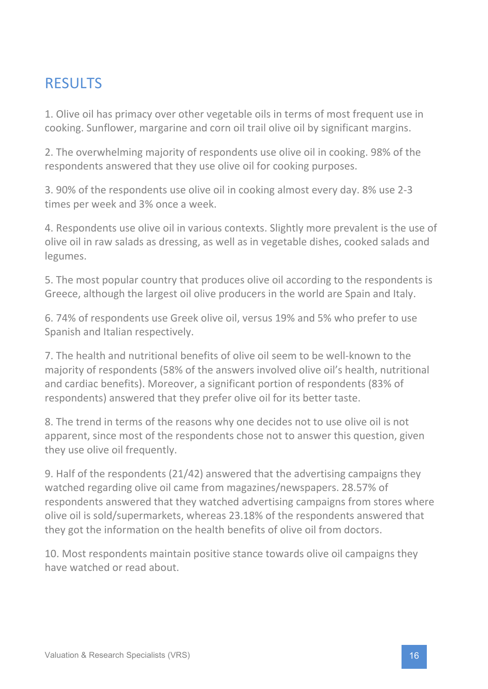### RESULTS

1. Olive oil has primacy over other vegetable oils in terms of most frequent use in cooking. Sunflower, margarine and corn oil trail olive oil by significant margins.

2. The overwhelming majority of respondents use olive oil in cooking. 98% of the respondents answered that they use olive oil for cooking purposes.

3. 90% of the respondents use olive oil in cooking almost every day. 8% use 2-3 times per week and 3% once a week.

4. Respondents use olive oil in various contexts. Slightly more prevalent is the use of olive oil in raw salads as dressing, as well as in vegetable dishes, cooked salads and legumes.

5. The most popular country that produces olive oil according to the respondents is Greece, although the largest oil olive producers in the world are Spain and Italy.

6. 74% of respondents use Greek olive oil, versus 19% and 5% who prefer to use Spanish and Italian respectively.

7. The health and nutritional benefits of olive oil seem to be well-known to the majority of respondents (58% of the answers involved olive oil's health, nutritional and cardiac benefits). Moreover, a significant portion of respondents (83% of respondents) answered that they prefer olive oil for its better taste.

8. The trend in terms of the reasons why one decides not to use olive oil is not apparent, since most of the respondents chose not to answer this question, given they use olive oil frequently.

9. Half of the respondents (21/42) answered that the advertising campaigns they watched regarding olive oil came from magazines/newspapers. 28.57% of respondents answered that they watched advertising campaigns from stores where olive oil is sold/supermarkets, whereas 23.18% of the respondents answered that they got the information on the health benefits of olive oil from doctors.

10. Most respondents maintain positive stance towards olive oil campaigns they have watched or read about.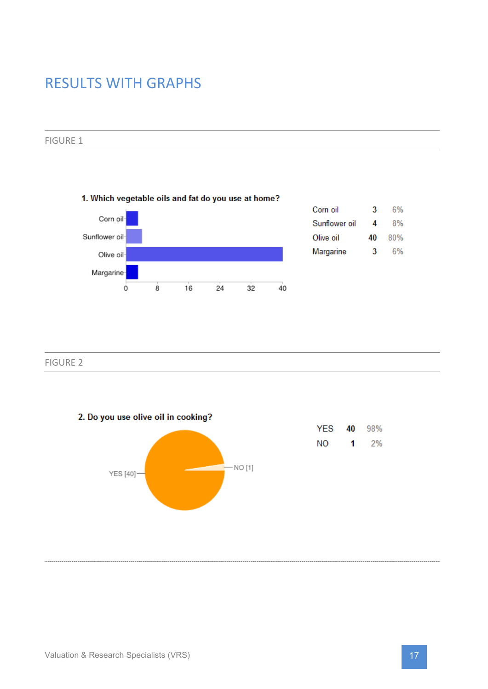### RESULTS WITH GRAPHS

FIGURE 1



| Corn oil      | 3  | 6%  |
|---------------|----|-----|
| Sunflower oil | 4  | 8%  |
| Olive oil     | 40 | 80% |
| Margarine     | 3  | 6%  |

#### FIGURE 2

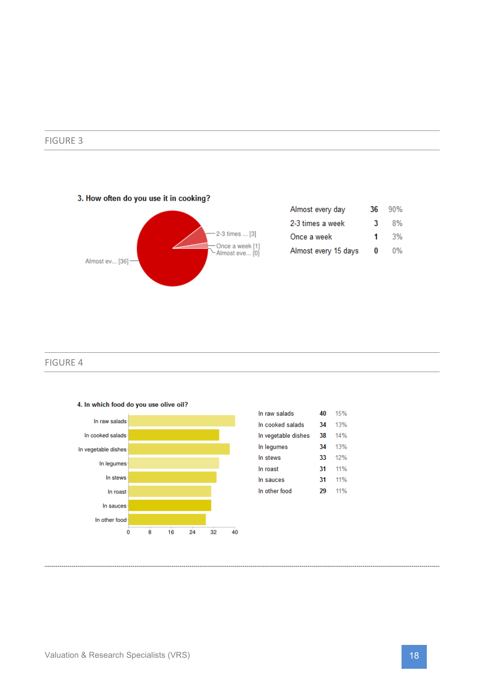#### FIGURE 3



| Almost every day     | 36 | .90%  |
|----------------------|----|-------|
| 2-3 times a week     | з  | 8%    |
| Once a week          | 1  | 3%    |
| Almost every 15 days | 0  | $0\%$ |

#### FIGURE 4



| In raw salads       | 40 | 15% |
|---------------------|----|-----|
| In cooked salads    | 34 | 13% |
| In vegetable dishes | 38 | 14% |
| In legumes          | 34 | 13% |
| In stews            | 33 | 12% |
| In roast            | 31 | 11% |
| In sauces           | 31 | 11% |
| In other food       | 29 | 11% |
|                     |    |     |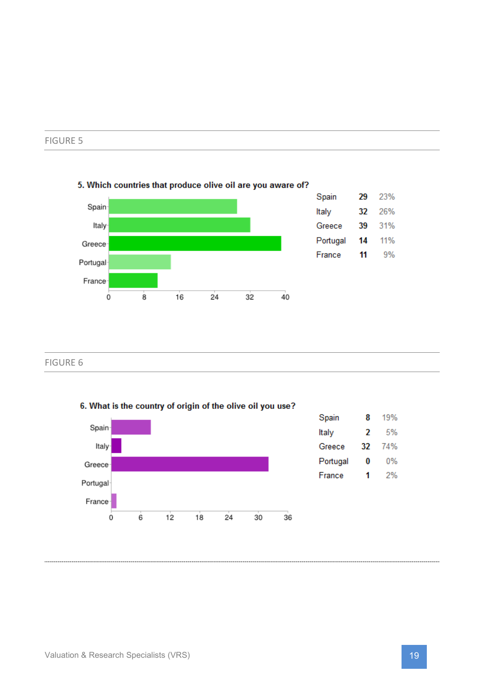



#### 5. Which countries that produce olive oil are you aware of?

#### FIGURE 6



| Spain    | 8  | 19%   |
|----------|----|-------|
| Italy    | 2  | 5%    |
| Greece   | 32 | 74%   |
| Portugal | 0  | $0\%$ |
| France   | 1  | 2%    |
|          |    |       |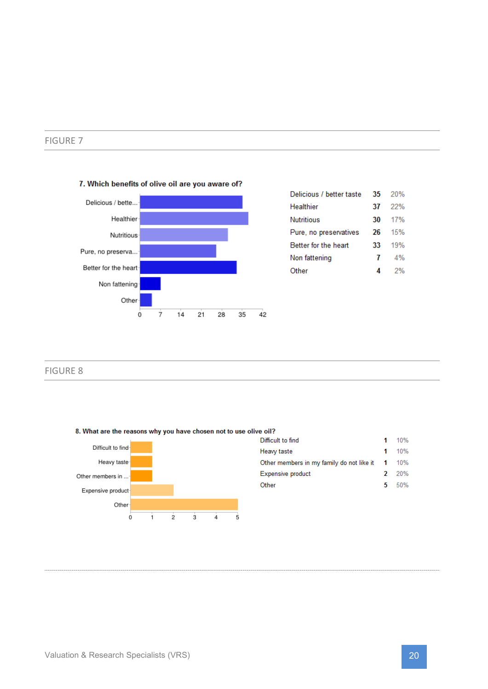#### FIGURE 7

#### 7. Which benefits of olive oil are you aware of?



| Delicious / better taste | 35. | - 20% |
|--------------------------|-----|-------|
| Healthier                | 37  | 22%   |
| <b>Nutritious</b>        | 30  | 17%   |
| Pure, no preservatives   | 26  | 15%   |
| Better for the heart     | 33  | 19%   |
| Non fattening            | 7   | 4%    |
| Other                    | 4   | 2%    |

FIGURE 8

#### 8. What are the reasons why you have chosen not to use olive oil?



| Difficult to find                               |    | $1 - 10\%$   |
|-------------------------------------------------|----|--------------|
| Heavy taste                                     |    | $1 - 10\%$   |
| Other members in my family do not like it 1 10% |    |              |
| <b>Expensive product</b>                        |    | $2^{0.20\%}$ |
| Other                                           | 5. | 50%          |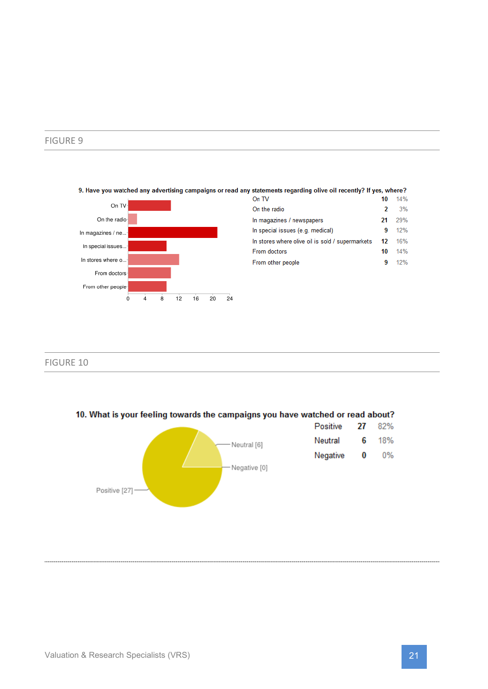#### FIGURE 9



| On TV                                            | 10 | 14%           |  |  |
|--------------------------------------------------|----|---------------|--|--|
| On the radio                                     |    | $2^{3\%}$     |  |  |
| In magazines / newspapers                        | 21 | 29%           |  |  |
| In special issues (e.g. medical)                 | 9  | 12%           |  |  |
| In stores where olive oil is sold / supermarkets |    | <b>12</b> 16% |  |  |
| From doctors                                     | 10 | 14%           |  |  |
| From other people                                | 9  | 12%           |  |  |
|                                                  |    |               |  |  |

#### FIGURE 10

#### 10. What is your feeling towards the campaigns you have watched or read about? Positive  $27$ 82% 6 18% Neutral Neutral [6]  $0%$ Negative  $\bf{0}$ Negative [0] Positive [27]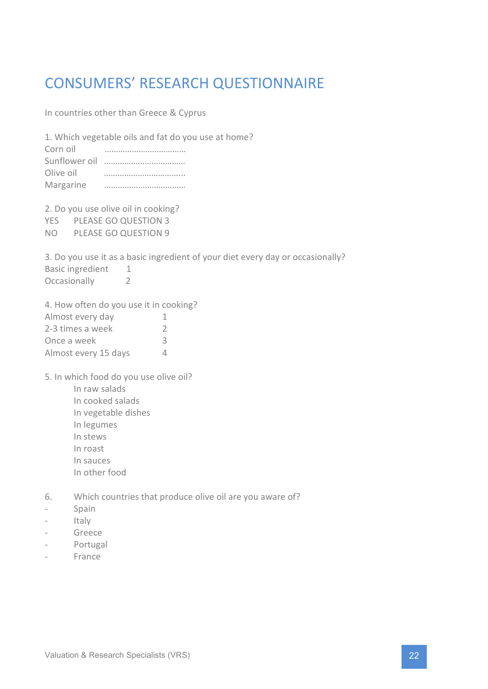### CONSUMERS' RESEARCH QUESTIONNAIRE

In countries other than Greece & Cyprus

1. Which vegetable oils and fat do you use at home?

| Corn oil      |  |
|---------------|--|
| Sunflower oil |  |
| Olive oil     |  |
| Margarine     |  |

2. Do you use olive oil in cooking? YES PLEASE GO QUESTION 3 NO PLEASE GO QUESTION 9

3. Do you use it as a basic ingredient of your diet every day or occasionally? Basic ingredient 1 Occasionally 2

4. How often do you use it in cooking? Almost every day 1 2-3 times a week 2 Once a week 3 Almost every 15 days 4

5. In which food do you use olive oil?

- In raw salads In cooked salads In vegetable dishes In legumes In stews In roast In sauces In other food
- 6. Which countries that produce olive oil are you aware of?
- Spain
- Italy
- **Greece**
- Portugal
- France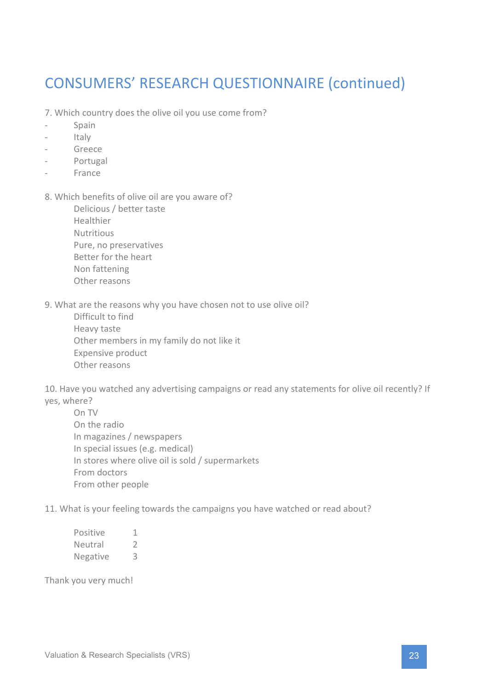### CONSUMERS' RESEARCH QUESTIONNAIRE (continued)

- 7. Which country does the olive oil you use come from?
- Spain
- Italy
- Greece
- **Portugal**
- **France**

#### 8. Which benefits of olive oil are you aware of?

- Delicious / better taste Healthier Nutritious Pure, no preservatives Better for the heart Non fattening Other reasons
- 9. What are the reasons why you have chosen not to use olive oil?
	- Difficult to find Heavy taste Other members in my family do not like it Expensive product Other reasons

10. Have you watched any advertising campaigns or read any statements for olive oil recently? If yes, where?

 On TV On the radio In magazines / newspapers In special issues (e.g. medical) In stores where olive oil is sold / supermarkets From doctors From other people

#### 11. What is your feeling towards the campaigns you have watched or read about?

| Positive |  |
|----------|--|
| Neutral  |  |
| Negative |  |

Thank you very much!